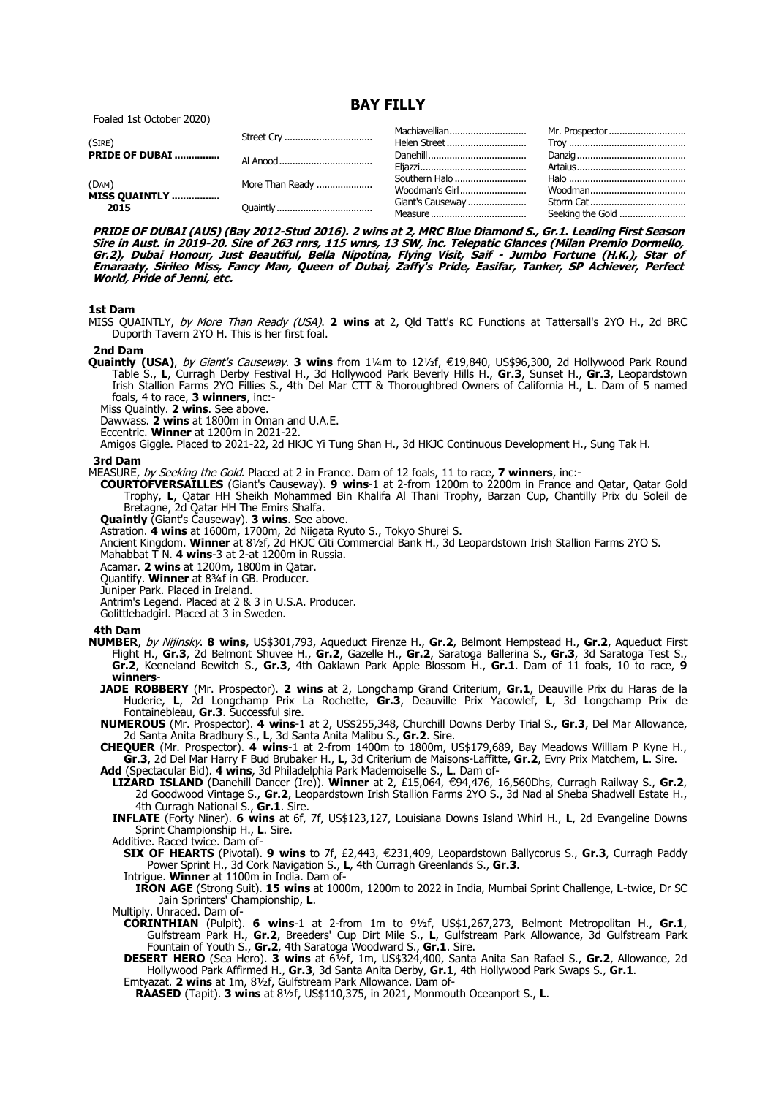**BAY FILLY**

Foaled 1st October 2020)

| (SIRE)                        |                 |                |                  |
|-------------------------------|-----------------|----------------|------------------|
| <b>PRIDE OF DUBAI </b>        |                 |                |                  |
| (DAM)                         | More Than Ready | Woodman's Girl |                  |
| <b>MISS QUAINTLY </b><br>2015 |                 |                | Seeking the Gold |

**PRIDE OF DUBAI (AUS) (Bay 2012-Stud 2016). 2 wins at 2, MRC Blue Diamond S., Gr.1. Leading First Season Sire in Aust. in 2019-20. Sire of 263 rnrs, 115 wnrs, 13 SW, inc. Telepatic Glances (Milan Premio Dormello, Gr.2), Dubai Honour, Just Beautiful, Bella Nipotina, Flying Visit, Saif - Jumbo Fortune (H.K.), Star of Emaraaty, Sirileo Miss, Fancy Man, Queen of Dubai, Zaffy's Pride, Easifar, Tanker, SP Achiever, Perfect World, Pride of Jenni, etc.**

## **1st Dam**

MISS QUAINTLY, by More Than Ready (USA). **2 wins** at 2, Qld Tatt's RC Functions at Tattersall's 2YO H., 2d BRC Duporth Tavern 2YO H. This is her first foal.

#### **2nd Dam**

Quaintly (USA), by Giant's Causeway. 3 wins from 1¼m to 121⁄2f, €19,840, US\$96,300, 2d Hollywood Park Round Table S., **L**, Curragh Derby Festival H., 3d Hollywood Park Beverly Hills H., **Gr.3**, Sunset H., **Gr.3**, Leopardstown Irish Stallion Farms 2YO Fillies S., 4th Del Mar CTT & Thoroughbred Owners of California H., **L**. Dam of 5 named foals, 4 to race, **3 winners**, inc:-

Miss Quaintly. **2 wins**. See above.

Dawwass. **2 wins** at 1800m in Oman and U.A.E.

Eccentric. **Winner** at 1200m in 2021-22.

Amigos Giggle. Placed to 2021-22, 2d HKJC Yi Tung Shan H., 3d HKJC Continuous Development H., Sung Tak H.

### **3rd Dam**

MEASURE, by Seeking the Gold. Placed at 2 in France. Dam of 12 foals, 11 to race, **7 winners**, inc:-

**COURTOFVERSAILLES** (Giant's Causeway). **9 wins**-1 at 2-from 1200m to 2200m in France and Qatar, Qatar Gold Trophy, L, Qatar HH Sheikh Mohammed Bin Khalifa Al Thani Trophy, Barzan Cup, Chantilly Prix du Soleil de Bretagne, 2d Qatar HH The Emirs Shalfa.

**Quaintly** (Giant's Causeway). **3 wins**. See above.

Astration. **4 wins** at 1600m, 1700m, 2d Niigata Ryuto S., Tokyo Shurei S.

Ancient Kingdom. **Winner** at 8½f, 2d HKJC Citi Commercial Bank H., 3d Leopardstown Irish Stallion Farms 2YO S.

Mahabbat T N. **4 wins**-3 at 2-at 1200m in Russia.

Acamar. **2 wins** at 1200m, 1800m in Qatar.

Quantify. **Winner** at 8¾f in GB. Producer.

Juniper Park. Placed in Ireland.

Antrim's Legend. Placed at 2 & 3 in U.S.A. Producer.

Golittlebadgirl. Placed at 3 in Sweden.

# **4th Dam**

- **NUMBER**, by Nijinsky. **8 wins**, US\$301,793, Aqueduct Firenze H., **Gr.2**, Belmont Hempstead H., **Gr.2**, Aqueduct First Flight H., **Gr.3**, 2d Belmont Shuvee H., **Gr.2**, Gazelle H., **Gr.2**, Saratoga Ballerina S., **Gr.3**, 3d Saratoga Test S., **Gr.2**, Keeneland Bewitch S., **Gr.3**, 4th Oaklawn Park Apple Blossom H., **Gr.1**. Dam of 11 foals, 10 to race, **9 winners**-
	- **JADE ROBBERY** (Mr. Prospector). **2 wins** at 2, Longchamp Grand Criterium, **Gr.1**, Deauville Prix du Haras de la Huderie, **L**, 2d Longchamp Prix La Rochette, **Gr.3**, Deauville Prix Yacowlef, **L**, 3d Longchamp Prix de Fontainebleau, **Gr.3**. Successful sire.

**NUMEROUS** (Mr. Prospector). **4 wins**-1 at 2, US\$255,348, Churchill Downs Derby Trial S., **Gr.3**, Del Mar Allowance, 2d Santa Anita Bradbury S., **L**, 3d Santa Anita Malibu S., **Gr.2**. Sire.

**CHEQUER** (Mr. Prospector). **4 wins**-1 at 2-from 1400m to 1800m, US\$179,689, Bay Meadows William P Kyne H., **Gr.3**, 2d Del Mar Harry F Bud Brubaker H., **L**, 3d Criterium de Maisons-Laffitte, **Gr.2**, Evry Prix Matchem, **L**. Sire.

**Add** (Spectacular Bid). **4 wins**, 3d Philadelphia Park Mademoiselle S., **L**. Dam of-

**LIZARD ISLAND** (Danehill Dancer (Ire)). **Winner** at 2, £15,064, €94,476, 16,560Dhs, Curragh Railway S., Gr.2, 2d Goodwood Vintage S., **Gr.2**, Leopardstown Irish Stallion Farms 2YO S., 3d Nad al Sheba Shadwell Estate H., 4th Curragh National S., **Gr.1**. Sire.

**INFLATE** (Forty Niner). **6 wins** at 6f, 7f, US\$123,127, Louisiana Downs Island Whirl H., **L**, 2d Evangeline Downs Sprint Championship H., **L**. Sire.

Additive. Raced twice. Dam of-

**SIX OF HEARTS** (Pivotal). **9 wins** to 7f, £2,443, €231,409, Leopardstown Ballycorus S., Gr.3, Curragh Paddy Power Sprint H., 3d Cork Navigation S., **L**, 4th Curragh Greenlands S., **Gr.3**.

Intrigue. **Winner** at 1100m in India. Dam of-

**IRON AGE** (Strong Suit). **15 wins** at 1000m, 1200m to 2022 in India, Mumbai Sprint Challenge, **L**-twice, Dr SC Jain Sprinters' Championship, **L**.

Multiply. Unraced. Dam of-

**CORINTHIAN** (Pulpit). **6 wins**-1 at 2-from 1m to 9½f, US\$1,267,273, Belmont Metropolitan H., **Gr.1**, Gulfstream Park H., **Gr.2**, Breeders' Cup Dirt Mile S., **L**, Gulfstream Park Allowance, 3d Gulfstream Park Fountain of Youth S., **Gr.2**, 4th Saratoga Woodward S., **Gr.1**. Sire.

**DESERT HERO** (Sea Hero). **3 wins** at 6½f, 1m, US\$324,400, Santa Anita San Rafael S., **Gr.2**, Allowance, 2d Hollywood Park Affirmed H., **Gr.3**, 3d Santa Anita Derby, **Gr.1**, 4th Hollywood Park Swaps S., **Gr.1**.

Emtyazat. **2 wins** at 1m, 8½f, Gulfstream Park Allowance. Dam of-

**RAASED** (Tapit). **3 wins** at 8½f, US\$110,375, in 2021, Monmouth Oceanport S., **L**.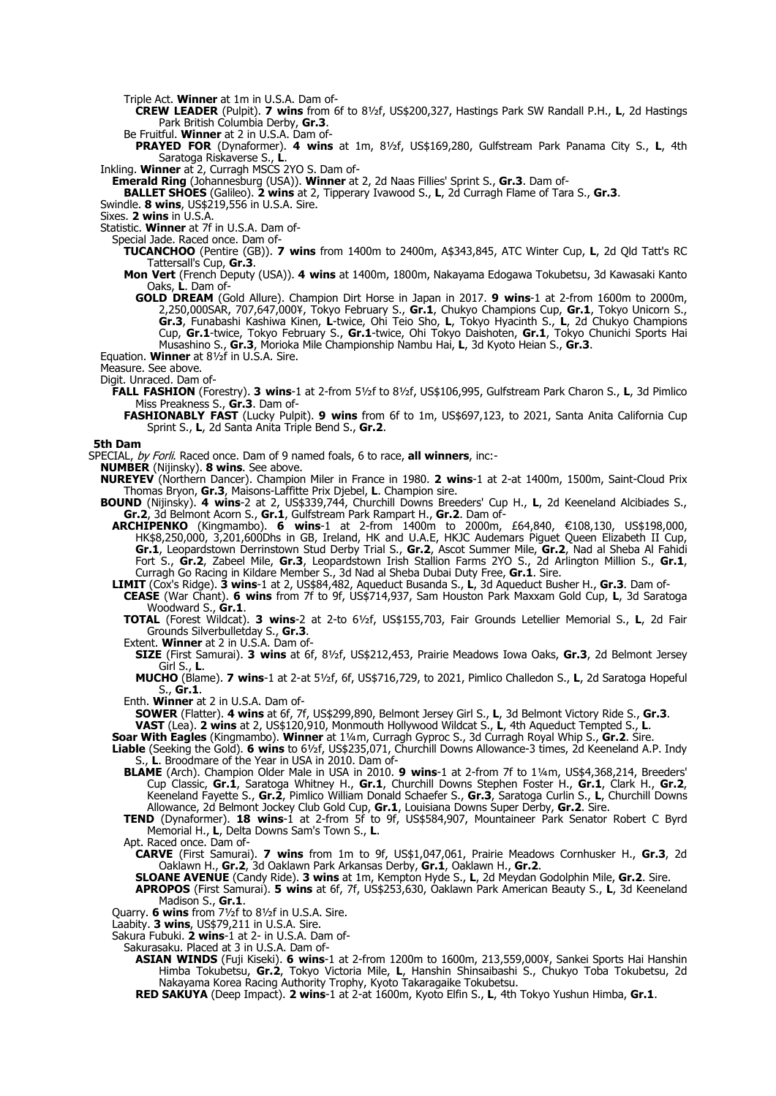Triple Act. **Winner** at 1m in U.S.A. Dam of-

**CREW LEADER** (Pulpit). **7 wins** from 6f to 8½f, US\$200,327, Hastings Park SW Randall P.H., **L**, 2d Hastings Park British Columbia Derby, **Gr.3**.

Be Fruitful. **Winner** at 2 in U.S.A. Dam of-

**PRAYED FOR** (Dynaformer). **4 wins** at 1m, 8½f, US\$169,280, Gulfstream Park Panama City S., **L**, 4th Saratoga Riskaverse S., **L**.

Inkling. **Winner** at 2, Curragh MSCS 2YO S. Dam of-

**Emerald Ring** (Johannesburg (USA)). **Winner** at 2, 2d Naas Fillies' Sprint S., **Gr.3**. Dam of-

**BALLET SHOES** (Galileo). **2 wins** at 2, Tipperary Ivawood S., **L**, 2d Curragh Flame of Tara S., **Gr.3**.

Swindle. **8 wins**, US\$219,556 in U.S.A. Sire.

Sixes. **2 wins** in U.S.A.

Statistic. **Winner** at 7f in U.S.A. Dam of-

Special Jade. Raced once. Dam of-

- **TUCANCHOO** (Pentire (GB)). **7 wins** from 1400m to 2400m, A\$343,845, ATC Winter Cup, **L**, 2d Qld Tatt's RC Tattersall's Cup, **Gr.3**.
- **Mon Vert** (French Deputy (USA)). **4 wins** at 1400m, 1800m, Nakayama Edogawa Tokubetsu, 3d Kawasaki Kanto Oaks, **L**. Dam of-
	- **GOLD DREAM** (Gold Allure). Champion Dirt Horse in Japan in 2017. **9 wins**-1 at 2-from 1600m to 2000m, 2,250,000SAR, 707,647,000¥, Tokyo February S., **Gr.1**, Chukyo Champions Cup, **Gr.1**, Tokyo Unicorn S., **Gr.3**, Funabashi Kashiwa Kinen, **L**-twice, Ohi Teio Sho, **L**, Tokyo Hyacinth S., **L**, 2d Chukyo Champions Cup, **Gr.1**-twice, Tokyo February S., **Gr.1**-twice, Ohi Tokyo Daishoten, **Gr.1**, Tokyo Chunichi Sports Hai Musashino S., **Gr.3**, Morioka Mile Championship Nambu Hai, **L**, 3d Kyoto Heian S., **Gr.3**.

Equation. **Winner** at 8½f in U.S.A. Sire.

Measure. See above.

Digit. Unraced. Dam of-

- **FALL FASHION** (Forestry). **3 wins**-1 at 2-from 5½f to 8½f, US\$106,995, Gulfstream Park Charon S., **L**, 3d Pimlico Miss Preakness S., **Gr.3**. Dam of-
	- **FASHIONABLY FAST** (Lucky Pulpit). **9 wins** from 6f to 1m, US\$697,123, to 2021, Santa Anita California Cup Sprint S., **L**, 2d Santa Anita Triple Bend S., **Gr.2**.

**5th Dam**

SPECIAL, by Forli. Raced once. Dam of 9 named foals, 6 to race, **all winners**, inc:-

**NUMBER** (Nijinsky). **8 wins**. See above.

**NUREYEV** (Northern Dancer). Champion Miler in France in 1980. **2 wins**-1 at 2-at 1400m, 1500m, Saint-Cloud Prix Thomas Bryon, **Gr.3**, Maisons-Laffitte Prix Djebel, **L**. Champion sire.

**BOUND** (Nijinsky). **4 wins**-2 at 2, US\$339,744, Churchill Downs Breeders' Cup H., **L**, 2d Keeneland Alcibiades S., **Gr.2**, 3d Belmont Acorn S., **Gr.1**, Gulfstream Park Rampart H., **Gr.2**. Dam of-

**ARCHIPENKO** (Kingmambo). **6 wins**-1 at 2-from 1400m to 2000m, £64,840, €108,130, US\$198,000, HK\$8,250,000, 3,201,600Dhs in GB, Ireland, HK and U.A.E, HKJC Audemars Piguet Queen Elizabeth II Cup, **Gr.1**, Leopardstown Derrinstown Stud Derby Trial S., **Gr.2**, Ascot Summer Mile, **Gr.2**, Nad al Sheba Al Fahidi Fort S., **Gr.2**, Zabeel Mile, **Gr.3**, Leopardstown Irish Stallion Farms 2YO S., 2d Arlington Million S., **Gr.1**, Curragh Go Racing in Kildare Member S., 3d Nad al Sheba Dubai Duty Free, **Gr.1**. Sire.

**LIMIT** (Cox's Ridge). **3 wins**-1 at 2, US\$84,482, Aqueduct Busanda S., **L**, 3d Aqueduct Busher H., **Gr.3**. Dam of-

**CEASE** (War Chant). **6 wins** from 7f to 9f, US\$714,937, Sam Houston Park Maxxam Gold Cup, **L**, 3d Saratoga Woodward S., **Gr.1**.

**TOTAL** (Forest Wildcat). **3 wins**-2 at 2-to 6½f, US\$155,703, Fair Grounds Letellier Memorial S., **L**, 2d Fair Grounds Silverbulletday S., **Gr.3**.

Extent. **Winner** at 2 in U.S.A. Dam of-

**SIZE** (First Samurai). **3 wins** at 6f, 8½f, US\$212,453, Prairie Meadows Iowa Oaks, **Gr.3**, 2d Belmont Jersey Girl S., **L**.

**MUCHO** (Blame). **7 wins**-1 at 2-at 5½f, 6f, US\$716,729, to 2021, Pimlico Challedon S., **L**, 2d Saratoga Hopeful S., **Gr.1**.

Enth. **Winner** at 2 in U.S.A. Dam of-

**SOWER** (Flatter). **4 wins** at 6f, 7f, US\$299,890, Belmont Jersey Girl S., **L**, 3d Belmont Victory Ride S., **Gr.3**.

**VAST** (Lea). **2 wins** at 2, US\$120,910, Monmouth Hollywood Wildcat S., **L**, 4th Aqueduct Tempted S., **L**.

**Soar With Eagles** (Kingmambo). **Winner** at 1¼m, Curragh Gyproc S., 3d Curragh Royal Whip S., **Gr.2**. Sire.

**Liable** (Seeking the Gold). **6 wins** to 6½f, US\$235,071, Churchill Downs Allowance-3 times, 2d Keeneland A.P. Indy L. Broodmare of the Year in USA in 2010. Dam of-

**BLAME** (Arch). Champion Older Male in USA in 2010. **9 wins**-1 at 2-from 7f to 1¼m, US\$4,368,214, Breeders' Cup Classic, **Gr.1**, Saratoga Whitney H., **Gr.1**, Churchill Downs Stephen Foster H., **Gr.1**, Clark H., **Gr.2**, Keeneland Fayette S., **Gr.2**, Pimlico William Donald Schaefer S., **Gr.3**, Saratoga Curlin S., **L**, Churchill Downs Allowance, 2d Belmont Jockey Club Gold Cup, **Gr.1**, Louisiana Downs Super Derby, **Gr.2**. Sire.

**TEND** (Dynaformer). **18 wins**-1 at 2-from 5f to 9f, US\$584,907, Mountaineer Park Senator Robert C Byrd Memorial H., **L**, Delta Downs Sam's Town S., **L**.

Apt. Raced once. Dam of-

**CARVE** (First Samurai). **7 wins** from 1m to 9f, US\$1,047,061, Prairie Meadows Cornhusker H., **Gr.3**, 2d Oaklawn H., **Gr.2**, 3d Oaklawn Park Arkansas Derby, **Gr.1**, Oaklawn H., **Gr.2**.

**SLOANE AVENUE** (Candy Ride). **3 wins** at 1m, Kempton Hyde S., **L**, 2d Meydan Godolphin Mile, **Gr.2**. Sire.

**APROPOS** (First Samurai). **5 wins** at 6f, 7f, US\$253,630, Oaklawn Park American Beauty S., **L**, 3d Keeneland Madison S., **Gr.1**.

Quarry. **6 wins** from 7½f to 8½f in U.S.A. Sire.

Laabity. **3 wins**, US\$79,211 in U.S.A. Sire.

Sakura Fubuki. **2 wins**-1 at 2- in U.S.A. Dam of-

Sakurasaku. Placed at 3 in U.S.A. Dam of-

**ASIAN WINDS** (Fuji Kiseki). **6 wins**-1 at 2-from 1200m to 1600m, 213,559,000¥, Sankei Sports Hai Hanshin Himba Tokubetsu, **Gr.2**, Tokyo Victoria Mile, **L**, Hanshin Shinsaibashi S., Chukyo Toba Tokubetsu, 2d Nakayama Korea Racing Authority Trophy, Kyoto Takaragaike Tokubetsu.

**RED SAKUYA** (Deep Impact). **2 wins**-1 at 2-at 1600m, Kyoto Elfin S., **L**, 4th Tokyo Yushun Himba, **Gr.1**.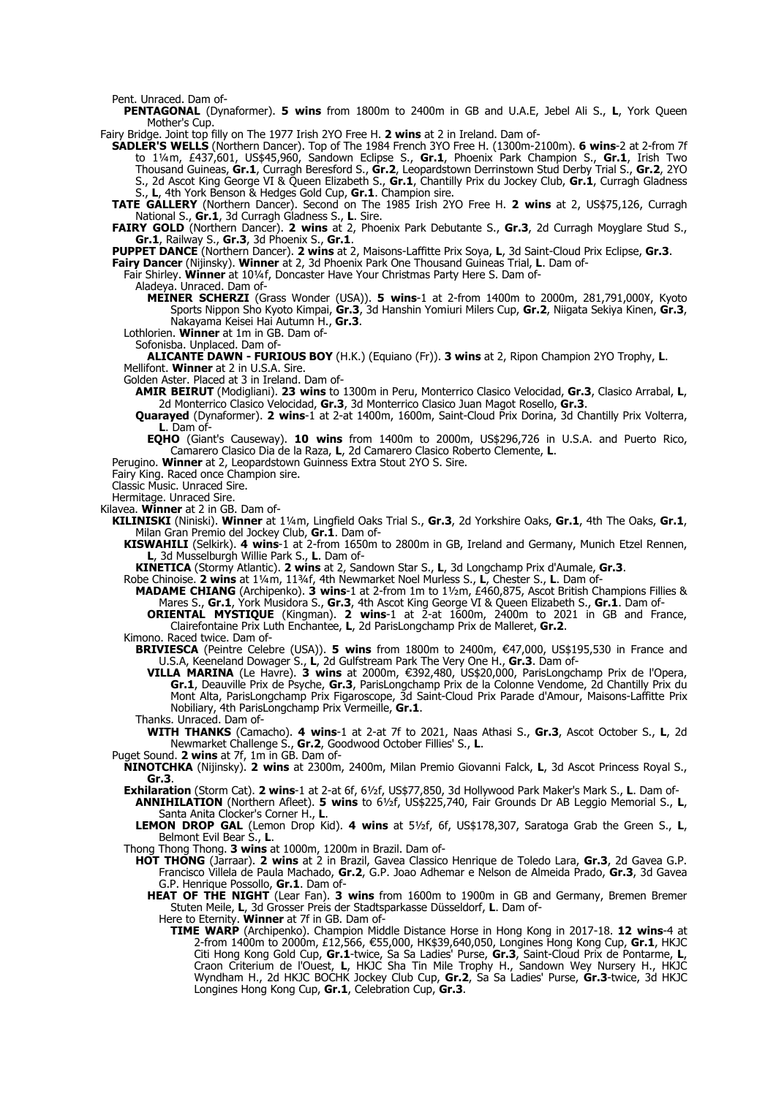Pent. Unraced. Dam of-

**PENTAGONAL** (Dynaformer). **5 wins** from 1800m to 2400m in GB and U.A.E, Jebel Ali S., **L**, York Queen Mother's Cup.

Fairy Bridge. Joint top filly on The 1977 Irish 2YO Free H. **2 wins** at 2 in Ireland. Dam of-

**SADLER'S WELLS** (Northern Dancer). Top of The 1984 French 3YO Free H. (1300m-2100m). **6 wins**-2 at 2-from 7f to 1¼m, £437,601, US\$45,960, Sandown Eclipse S., **Gr.1**, Phoenix Park Champion S., **Gr.1**, Irish Two Thousand Guineas, **Gr.1**, Curragh Beresford S., **Gr.2**, Leopardstown Derrinstown Stud Derby Trial S., **Gr.2**, 2YO S., 2d Ascot King George VI & Queen Elizabeth S., **Gr.1**, Chantilly Prix du Jockey Club, **Gr.1**, Curragh Gladness S., **L**, 4th York Benson & Hedges Gold Cup, **Gr.1**. Champion sire.

**TATE GALLERY** (Northern Dancer). Second on The 1985 Irish 2YO Free H. **2 wins** at 2, US\$75,126, Curragh National S., **Gr.1**, 3d Curragh Gladness S., **L**. Sire.

**FAIRY GOLD** (Northern Dancer). **2 wins** at 2, Phoenix Park Debutante S., **Gr.3**, 2d Curragh Moyglare Stud S., **Gr.1**, Railway S., **Gr.3**, 3d Phoenix S., **Gr.1**.

**PUPPET DANCE** (Northern Dancer). **2 wins** at 2, Maisons-Laffitte Prix Soya, **L**, 3d Saint-Cloud Prix Eclipse, **Gr.3**.

**Fairy Dancer** (Nijinsky). **Winner** at 2, 3d Phoenix Park One Thousand Guineas Trial, **L**. Dam of-

Fair Shirley. **Winner** at 10¼f, Doncaster Have Your Christmas Party Here S. Dam of-

Aladeya. Unraced. Dam of-

**MEINER SCHERZI** (Grass Wonder (USA)). **5 wins**-1 at 2-from 1400m to 2000m, 281,791,000¥, Kyoto Sports Nippon Sho Kyoto Kimpai, **Gr.3**, 3d Hanshin Yomiuri Milers Cup, **Gr.2**, Niigata Sekiya Kinen, **Gr.3**, Nakayama Keisei Hai Autumn H., **Gr.3**.

Lothlorien. **Winner** at 1m in GB. Dam of-

Sofonisba. Unplaced. Dam of-

**ALICANTE DAWN - FURIOUS BOY** (H.K.) (Equiano (Fr)). **3 wins** at 2, Ripon Champion 2YO Trophy, **L**. Mellifont. **Winner** at 2 in U.S.A. Sire.

Golden Aster. Placed at 3 in Ireland. Dam of-

**AMIR BEIRUT** (Modigliani). **23 wins** to 1300m in Peru, Monterrico Clasico Velocidad, **Gr.3**, Clasico Arrabal, **L**, 2d Monterrico Clasico Velocidad, **Gr.3**, 3d Monterrico Clasico Juan Magot Rosello, **Gr.3**.

**Quarayed** (Dynaformer). **2 wins**-1 at 2-at 1400m, 1600m, Saint-Cloud Prix Dorina, 3d Chantilly Prix Volterra, **L**. Dam of-

**EQHO** (Giant's Causeway). **10 wins** from 1400m to 2000m, US\$296,726 in U.S.A. and Puerto Rico, Camarero Clasico Dia de la Raza, **L**, 2d Camarero Clasico Roberto Clemente, **L**.

Perugino. **Winner** at 2, Leopardstown Guinness Extra Stout 2YO S. Sire.

Fairy King. Raced once Champion sire.

Classic Music. Unraced Sire.

Hermitage. Unraced Sire.

Kilavea. **Winner** at 2 in GB. Dam of-

- **KILINISKI** (Niniski). **Winner** at 1¼m, Lingfield Oaks Trial S., **Gr.3**, 2d Yorkshire Oaks, **Gr.1**, 4th The Oaks, **Gr.1**, Milan Gran Premio del Jockey Club, **Gr.1**. Dam of-
	- **KISWAHILI** (Selkirk). **4 wins**-1 at 2-from 1650m to 2800m in GB, Ireland and Germany, Munich Etzel Rennen, **L**, 3d Musselburgh Willie Park S., **L**. Dam of-

**KINETICA** (Stormy Atlantic). **2 wins** at 2, Sandown Star S., **L**, 3d Longchamp Prix d'Aumale, **Gr.3**.

Robe Chinoise. **2 wins** at 1¼m, 11¾f, 4th Newmarket Noel Murless S., **L**, Chester S., **L**. Dam of-

**MADAME CHIANG** (Archipenko). **3 wins**-1 at 2-from 1m to 1½m, £460,875, Ascot British Champions Fillies & Mares S., **Gr.1**, York Musidora S., **Gr.3**, 4th Ascot King George VI & Queen Elizabeth S., **Gr.1**. Dam of-**ORIENTAL MYSTIQUE** (Kingman). **2 wins**-1 at 2-at 1600m, 2400m to 2021 in GB and France, Clairefontaine Prix Luth Enchantee, **L**, 2d ParisLongchamp Prix de Malleret, **Gr.2**.

Kimono. Raced twice. Dam of-

- **BRIVIESCA** (Peintre Celebre (USA)). **5 wins** from 1800m to 2400m, €47,000, US\$195,530 in France and U.S.A, Keeneland Dowager S., **L**, 2d Gulfstream Park The Very One H., **Gr.3**. Dam of-
	- **VILLA MARINA** (Le Havre). **3 wins** at 2000m, €392,480, US\$20,000, ParisLongchamp Prix de l'Opera, **Gr.1**, Deauville Prix de Psyche, **Gr.3**, ParisLongchamp Prix de la Colonne Vendome, 2d Chantilly Prix du Mont Alta, ParisLongchamp Prix Figaroscope, 3d Saint-Cloud Prix Parade d'Amour, Maisons-Laffitte Prix Nobiliary, 4th ParisLongchamp Prix Vermeille, **Gr.1**.

Thanks. Unraced. Dam of-

**WITH THANKS** (Camacho). **4 wins**-1 at 2-at 7f to 2021, Naas Athasi S., **Gr.3**, Ascot October S., **L**, 2d Newmarket Challenge S., **Gr.2**, Goodwood October Fillies' S., **L**.

Puget Sound. **2 wins** at 7f, 1m in GB. Dam of-

**NINOTCHKA** (Nijinsky). **2 wins** at 2300m, 2400m, Milan Premio Giovanni Falck, **L**, 3d Ascot Princess Royal S., **Gr.3**.

**Exhilaration** (Storm Cat). **2 wins**-1 at 2-at 6f, 6½f, US\$77,850, 3d Hollywood Park Maker's Mark S., **L**. Dam of-

- **ANNIHILATION** (Northern Afleet). **5 wins** to 6½f, US\$225,740, Fair Grounds Dr AB Leggio Memorial S., **L**, Santa Anita Clocker's Corner H., **L**.
- **LEMON DROP GAL** (Lemon Drop Kid). **4 wins** at 5½f, 6f, US\$178,307, Saratoga Grab the Green S., **L**, Belmont Evil Bear S., **L**.

Thong Thong Thong. **3 wins** at 1000m, 1200m in Brazil. Dam of-

- **HOT THONG** (Jarraar). **2 wins** at 2 in Brazil, Gavea Classico Henrique de Toledo Lara, **Gr.3**, 2d Gavea G.P. Francisco Villela de Paula Machado, **Gr.2**, G.P. Joao Adhemar e Nelson de Almeida Prado, **Gr.3**, 3d Gavea G.P. Henrique Possollo, **Gr.1**. Dam of-
	- **HEAT OF THE NIGHT** (Lear Fan). **3 wins** from 1600m to 1900m in GB and Germany, Bremen Bremer Stuten Meile, **L**, 3d Grosser Preis der Stadtsparkasse Düsseldorf, **L**. Dam of-

Here to Eternity. **Winner** at 7f in GB. Dam of-

**TIME WARP** (Archipenko). Champion Middle Distance Horse in Hong Kong in 2017-18. **12 wins**-4 at 2-from 1400m to 2000m, £12,566, €55,000, HK\$39,640,050, Longines Hong Kong Cup, **Gr.1**, HKJC Citi Hong Kong Gold Cup, **Gr.1**-twice, Sa Sa Ladies' Purse, **Gr.3**, Saint-Cloud Prix de Pontarme, **L**, Craon Criterium de l'Ouest, **L**, HKJC Sha Tin Mile Trophy H., Sandown Wey Nursery H., HKJC Wyndham H., 2d HKJC BOCHK Jockey Club Cup, **Gr.2**, Sa Sa Ladies' Purse, **Gr.3**-twice, 3d HKJC Longines Hong Kong Cup, **Gr.1**, Celebration Cup, **Gr.3**.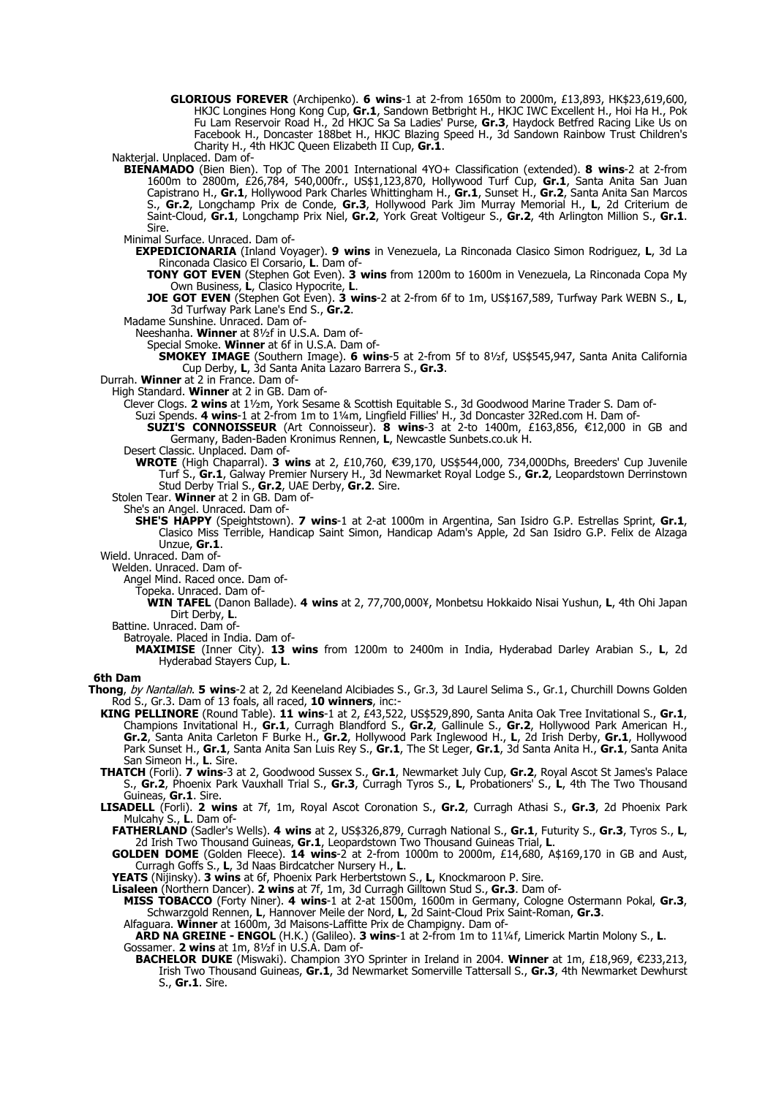**GLORIOUS FOREVER** (Archipenko). **6 wins**-1 at 2-from 1650m to 2000m, £13,893, HK\$23,619,600, HKJC Longines Hong Kong Cup, **Gr.1**, Sandown Betbright H., HKJC IWC Excellent H., Hoi Ha H., Pok Fu Lam Reservoir Road H., 2d HKJC Sa Sa Ladies' Purse, **Gr.3**, Haydock Betfred Racing Like Us on Facebook H., Doncaster 188bet H., HKJC Blazing Speed H., 3d Sandown Rainbow Trust Children's Charity H., 4th HKJC Queen Elizabeth II Cup, **Gr.1**.

Nakterjal. Unplaced. Dam of-

- **BIENAMADO** (Bien Bien). Top of The 2001 International 4YO+ Classification (extended). **8 wins**-2 at 2-from 1600m to 2800m, £26,784, 540,000fr., US\$1,123,870, Hollywood Turf Cup, **Gr.1**, Santa Anita San Juan Capistrano H., **Gr.1**, Hollywood Park Charles Whittingham H., **Gr.1**, Sunset H., **Gr.2**, Santa Anita San Marcos S., **Gr.2**, Longchamp Prix de Conde, **Gr.3**, Hollywood Park Jim Murray Memorial H., **L**, 2d Criterium de Saint-Cloud, **Gr.1**, Longchamp Prix Niel, **Gr.2**, York Great Voltigeur S., **Gr.2**, 4th Arlington Million S., **Gr.1**. Sire.
- Minimal Surface. Unraced. Dam of-
	- **EXPEDICIONARIA** (Inland Voyager). **9 wins** in Venezuela, La Rinconada Clasico Simon Rodriguez, **L**, 3d La Rinconada Clasico El Corsario, **L**. Dam of-
		- **TONY GOT EVEN** (Stephen Got Even). **3 wins** from 1200m to 1600m in Venezuela, La Rinconada Copa My Own Business, **L**, Clasico Hypocrite, **L**.
		- **JOE GOT EVEN** (Stephen Got Even). **3 wins**-2 at 2-from 6f to 1m, US\$167,589, Turfway Park WEBN S., **L**, 3d Turfway Park Lane's End S., **Gr.2**.
- Madame Sunshine. Unraced. Dam of-
	- Neeshanha. **Winner** at 8½f in U.S.A. Dam of-
	- Special Smoke. **Winner** at 6f in U.S.A. Dam of-
	- **SMOKEY IMAGE** (Southern Image). **6 wins**-5 at 2-from 5f to 8½f, US\$545,947, Santa Anita California Cup Derby, **L**, 3d Santa Anita Lazaro Barrera S., **Gr.3**.
- Durrah. **Winner** at 2 in France. Dam of-
	- High Standard. **Winner** at 2 in GB. Dam of-
		- Clever Clogs. **2 wins** at 1½m, York Sesame & Scottish Equitable S., 3d Goodwood Marine Trader S. Dam of-
			- Suzi Spends. **4 wins**-1 at 2-from 1m to 1¼m, Lingfield Fillies' H., 3d Doncaster 32Red.com H. Dam of-
			- **SUZI'S CONNOISSEUR** (Art Connoisseur). **8 wins**-3 at 2-to 1400m, £163,856, €12,000 in GB and Germany, Baden-Baden Kronimus Rennen, **L**, Newcastle Sunbets.co.uk H.
		- Desert Classic. Unplaced. Dam of-
		- **WROTE** (High Chaparral). 3 wins at 2, £10,760, €39,170, US\$544,000, 734,000Dhs, Breeders' Cup Juvenile Turf S., **Gr.1**, Galway Premier Nursery H., 3d Newmarket Royal Lodge S., **Gr.2**, Leopardstown Derrinstown Stud Derby Trial S., **Gr.2**, UAE Derby, **Gr.2**. Sire.
	- Stolen Tear. **Winner** at 2 in GB. Dam of-
		- She's an Angel. Unraced. Dam of-
			- **SHE'S HAPPY** (Speightstown). **7 wins**-1 at 2-at 1000m in Argentina, San Isidro G.P. Estrellas Sprint, **Gr.1**, Clasico Miss Terrible, Handicap Saint Simon, Handicap Adam's Apple, 2d San Isidro G.P. Felix de Alzaga Unzue, **Gr.1**.
- Wield. Unraced. Dam of-
	- Welden. Unraced. Dam of-
		- Angel Mind. Raced once. Dam of-
		- Topeka. Unraced. Dam of-
			- **WIN TAFEL** (Danon Ballade). **4 wins** at 2, 77,700,000¥, Monbetsu Hokkaido Nisai Yushun, **L**, 4th Ohi Japan Dirt Derby, **L**.
	- Battine. Unraced. Dam of-
		- Batroyale. Placed in India. Dam of-
		- **MAXIMISE** (Inner City). **13 wins** from 1200m to 2400m in India, Hyderabad Darley Arabian S., **L**, 2d Hyderabad Stayers Cup, **L**.

#### **6th Dam**

- **Thong**, by Nantallah. **5 wins**-2 at 2, 2d Keeneland Alcibiades S., Gr.3, 3d Laurel Selima S., Gr.1, Churchill Downs Golden Rod S., Gr.3. Dam of 13 foals, all raced, **10 winners**, inc:-
	- **KING PELLINORE** (Round Table). **11 wins**-1 at 2, £43,522, US\$529,890, Santa Anita Oak Tree Invitational S., **Gr.1**, Champions Invitational H., **Gr.1**, Curragh Blandford S., **Gr.2**, Gallinule S., **Gr.2**, Hollywood Park American H., **Gr.2**, Santa Anita Carleton F Burke H., **Gr.2**, Hollywood Park Inglewood H., **L**, 2d Irish Derby, **Gr.1**, Hollywood Park Sunset H., **Gr.1**, Santa Anita San Luis Rey S., **Gr.1**, The St Leger, **Gr.1**, 3d Santa Anita H., **Gr.1**, Santa Anita San Simeon H., **L**. Sire.
	- **THATCH** (Forli). **7 wins**-3 at 2, Goodwood Sussex S., **Gr.1**, Newmarket July Cup, **Gr.2**, Royal Ascot St James's Palace S., **Gr.2**, Phoenix Park Vauxhall Trial S., **Gr.3**, Curragh Tyros S., **L**, Probationers' S., **L**, 4th The Two Thousand Guineas, **Gr.1**. Sire.
	- **LISADELL** (Forli). **2 wins** at 7f, 1m, Royal Ascot Coronation S., **Gr.2**, Curragh Athasi S., **Gr.3**, 2d Phoenix Park Mulcahy S., **L**. Dam of-

**FATHERLAND** (Sadler's Wells). **4 wins** at 2, US\$326,879, Curragh National S., **Gr.1**, Futurity S., **Gr.3**, Tyros S., **L**, 2d Irish Two Thousand Guineas, **Gr.1**, Leopardstown Two Thousand Guineas Trial, **L**.

- **GOLDEN DOME** (Golden Fleece). **14 wins**-2 at 2-from 1000m to 2000m, £14,680, A\$169,170 in GB and Aust, Curragh Goffs S., **L**, 3d Naas Birdcatcher Nursery H., **L**.
- **YEATS** (Nijinsky). **3 wins** at 6f, Phoenix Park Herbertstown S., **L**, Knockmaroon P. Sire.
- **Lisaleen** (Northern Dancer). **2 wins** at 7f, 1m, 3d Curragh Gilltown Stud S., **Gr.3**. Dam of-
	- **MISS TOBACCO** (Forty Niner). **4 wins**-1 at 2-at 1500m, 1600m in Germany, Cologne Ostermann Pokal, **Gr.3**, Schwarzgold Rennen, **L**, Hannover Meile der Nord, **L**, 2d Saint-Cloud Prix Saint-Roman, **Gr.3**.
	- Alfaguara. **Winner** at 1600m, 3d Maisons-Laffitte Prix de Champigny. Dam of-
	- **ARD NA GREINE ENGOL** (H.K.) (Galileo). **3 wins**-1 at 2-from 1m to 11¼f, Limerick Martin Molony S., **L**. Gossamer. **2 wins** at 1m, 8½f in U.S.A. Dam of-
		- **BACHELOR DUKE** (Miswaki). Champion 3YO Sprinter in Ireland in 2004. Winner at 1m, £18,969, €233,213, Irish Two Thousand Guineas, **Gr.1**, 3d Newmarket Somerville Tattersall S., **Gr.3**, 4th Newmarket Dewhurst S., **Gr.1**. Sire.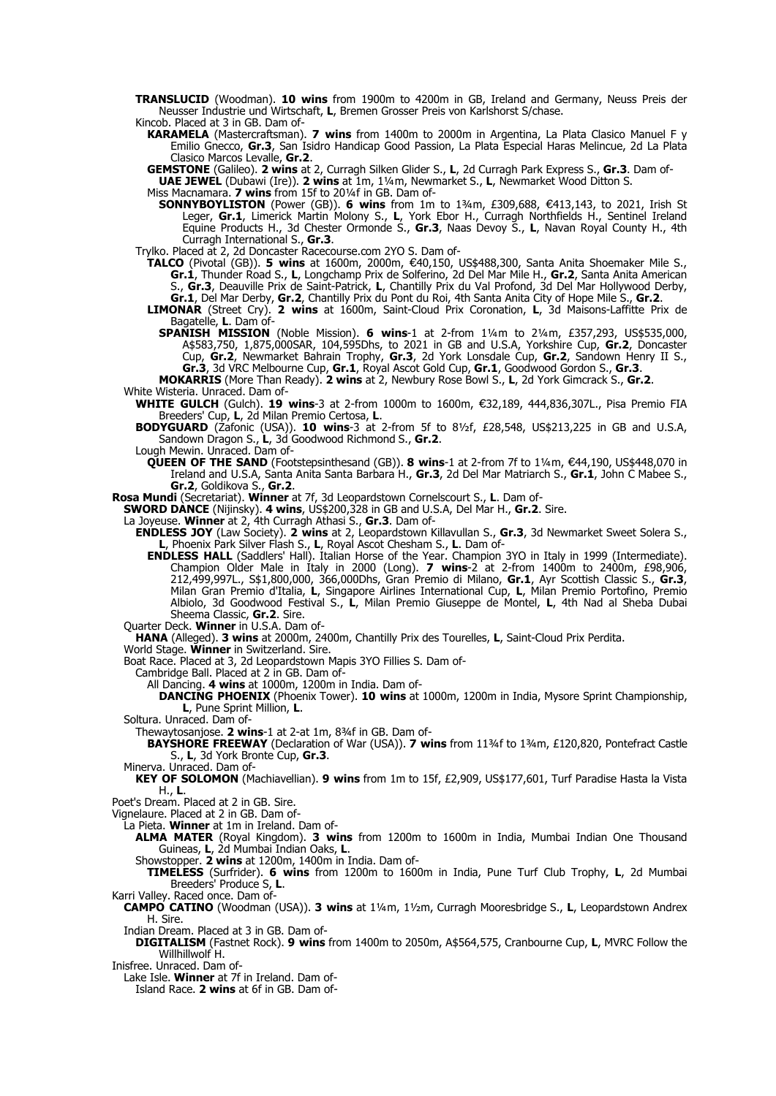- **TRANSLUCID** (Woodman). **10 wins** from 1900m to 4200m in GB, Ireland and Germany, Neuss Preis der Neusser Industrie und Wirtschaft, **L**, Bremen Grosser Preis von Karlshorst S/chase. Kincob. Placed at 3 in GB. Dam of-
- **KARAMELA** (Mastercraftsman). **7 wins** from 1400m to 2000m in Argentina, La Plata Clasico Manuel F y Emilio Gnecco, **Gr.3**, San Isidro Handicap Good Passion, La Plata Especial Haras Melincue, 2d La Plata Clasico Marcos Levalle, **Gr.2**.

**GEMSTONE** (Galileo). **2 wins** at 2, Curragh Silken Glider S., **L**, 2d Curragh Park Express S., **Gr.3**. Dam of-

**UAE JEWEL** (Dubawi (Ire)). **2 wins** at 1m, 1¼m, Newmarket S., **L**, Newmarket Wood Ditton S.

- Miss Macnamara. **7 wins** from 15f to 20¼f in GB. Dam of-
- **SONNYBOYLISTON** (Power (GB)). **6 wins** from 1m to 1¾m, £309,688, €413,143, to 2021, Irish St Leger, **Gr.1**, Limerick Martin Molony S., **L**, York Ebor H., Curragh Northfields H., Sentinel Ireland Equine Products H., 3d Chester Ormonde S., **Gr.3**, Naas Devoy S., **L**, Navan Royal County H., 4th Curragh International S., **Gr.3**.
- Trylko. Placed at 2, 2d Doncaster Racecourse.com 2YO S. Dam of-
	- **TALCO** (Pivotal (GB)). **5 wins** at 1600m, 2000m, €40,150, US\$488,300, Santa Anita Shoemaker Mile S., **Gr.1**, Thunder Road S., **L**, Longchamp Prix de Solferino, 2d Del Mar Mile H., **Gr.2**, Santa Anita American S., **Gr.3**, Deauville Prix de Saint-Patrick, **L**, Chantilly Prix du Val Profond, 3d Del Mar Hollywood Derby, **Gr.1**, Del Mar Derby, **Gr.2**, Chantilly Prix du Pont du Roi, 4th Santa Anita City of Hope Mile S., **Gr.2**.
	- **LIMONAR** (Street Cry). **2 wins** at 1600m, Saint-Cloud Prix Coronation, **L**, 3d Maisons-Laffitte Prix de Bagatelle, L. Dam of-
		- **SPANISH MISSION** (Noble Mission). **6 wins**-1 at 2-from 1¼m to 2¼m, £357,293, US\$535,000, A\$583,750, 1,875,000SAR, 104,595Dhs, to 2021 in GB and U.S.A, Yorkshire Cup, **Gr.2**, Doncaster Cup, **Gr.2**, Newmarket Bahrain Trophy, **Gr.3**, 2d York Lonsdale Cup, **Gr.2**, Sandown Henry II S., **Gr.3**, 3d VRC Melbourne Cup, **Gr.1**, Royal Ascot Gold Cup, **Gr.1**, Goodwood Gordon S., **Gr.3**.
- **MOKARRIS** (More Than Ready). **2 wins** at 2, Newbury Rose Bowl S., **L**, 2d York Gimcrack S., **Gr.2**. White Wisteria. Unraced. Dam of-
- **WHITE GULCH** (Gulch). 19 wins-3 at 2-from 1000m to 1600m, €32,189, 444,836,307L., Pisa Premio FIA Breeders' Cup, **L**, 2d Milan Premio Certosa, **L**.
	- **BODYGUARD** (Zafonic (USA)). **10 wins**-3 at 2-from 5f to 8½f, £28,548, US\$213,225 in GB and U.S.A, Sandown Dragon S., **L**, 3d Goodwood Richmond S., **Gr.2**.
	- Lough Mewin. Unraced. Dam of-
	- **QUEEN OF THE SAND** (Footstepsinthesand (GB)). **8 wins**-1 at 2-from 7f to 1¼m, €44,190, US\$448,070 in Ireland and U.S.A, Santa Anita Santa Barbara H., **Gr.3**, 2d Del Mar Matriarch S., **Gr.1**, John C Mabee S., **Gr.2**, Goldikova S., **Gr.2**.
- **Rosa Mundi** (Secretariat). **Winner** at 7f, 3d Leopardstown Cornelscourt S., **L**. Dam of-
	- **SWORD DANCE** (Nijinsky). **4 wins**, US\$200,328 in GB and U.S.A, Del Mar H., **Gr.2**. Sire.
	- La Joyeuse. **Winner** at 2, 4th Curragh Athasi S., **Gr.3**. Dam of-
	- **ENDLESS JOY** (Law Society). **2 wins** at 2, Leopardstown Killavullan S., **Gr.3**, 3d Newmarket Sweet Solera S., **L**, Phoenix Park Silver Flash S., **L**, Royal Ascot Chesham S., **L**. Dam of-
		- **ENDLESS HALL** (Saddlers' Hall). Italian Horse of the Year. Champion 3YO in Italy in 1999 (Intermediate). Champion Older Male in Italy in 2000 (Long). **7 wins**-2 at 2-from 1400m to 2400m, £98,906, 212,499,997L., S\$1,800,000, 366,000Dhs, Gran Premio di Milano, **Gr.1**, Ayr Scottish Classic S., **Gr.3**, Milan Gran Premio d'Italia, **L**, Singapore Airlines International Cup, **L**, Milan Premio Portofino, Premio Albiolo, 3d Goodwood Festival S., **L**, Milan Premio Giuseppe de Montel, **L**, 4th Nad al Sheba Dubai Sheema Classic, **Gr.2**. Sire.
	- Quarter Deck. **Winner** in U.S.A. Dam of-
	- **HANA** (Alleged). **3 wins** at 2000m, 2400m, Chantilly Prix des Tourelles, **L**, Saint-Cloud Prix Perdita.
	- World Stage. **Winner** in Switzerland. Sire.
	- Boat Race. Placed at 3, 2d Leopardstown Mapis 3YO Fillies S. Dam of-
		- Cambridge Ball. Placed at 2 in GB. Dam of-
			- All Dancing. **4 wins** at 1000m, 1200m in India. Dam of-
			- **DANCING PHOENIX** (Phoenix Tower). **10 wins** at 1000m, 1200m in India, Mysore Sprint Championship, **L**, Pune Sprint Million, **L**.
	- Soltura. Unraced. Dam of-
		- Thewaytosanjose. **2 wins**-1 at 2-at 1m, 8¾f in GB. Dam of-
		- **BAYSHORE FREEWAY** (Declaration of War (USA)). **7 wins** from 11¾f to 1¾m, £120,820, Pontefract Castle S., **L**, 3d York Bronte Cup, **Gr.3**.
	- Minerva. Unraced. Dam of-
		- **KEY OF SOLOMON** (Machiavellian). **9 wins** from 1m to 15f, £2,909, US\$177,601, Turf Paradise Hasta la Vista H., **L**.
- Poet's Dream. Placed at 2 in GB. Sire.
- Vignelaure. Placed at 2 in GB. Dam of-
	- La Pieta. **Winner** at 1m in Ireland. Dam of-
	- **ALMA MATER** (Royal Kingdom). **3 wins** from 1200m to 1600m in India, Mumbai Indian One Thousand Guineas, **L**, 2d Mumbai Indian Oaks, **L**.
		- Showstopper. **2 wins** at 1200m, 1400m in India. Dam of-
	- **TIMELESS** (Surfrider). **6 wins** from 1200m to 1600m in India, Pune Turf Club Trophy, **L**, 2d Mumbai Breeders' Produce S, **L**.
- Karri Valley. Raced once. Dam of-
- **CAMPO CATINO** (Woodman (USA)). **3 wins** at 1¼m, 1½m, Curragh Mooresbridge S., **L**, Leopardstown Andrex H. Sire.
- Indian Dream. Placed at 3 in GB. Dam of-
- **DIGITALISM** (Fastnet Rock). **9 wins** from 1400m to 2050m, A\$564,575, Cranbourne Cup, **L**, MVRC Follow the Willhillwolf H.
- Inisfree. Unraced. Dam of-
	- Lake Isle. **Winner** at 7f in Ireland. Dam of-
		- Island Race. **2 wins** at 6f in GB. Dam of-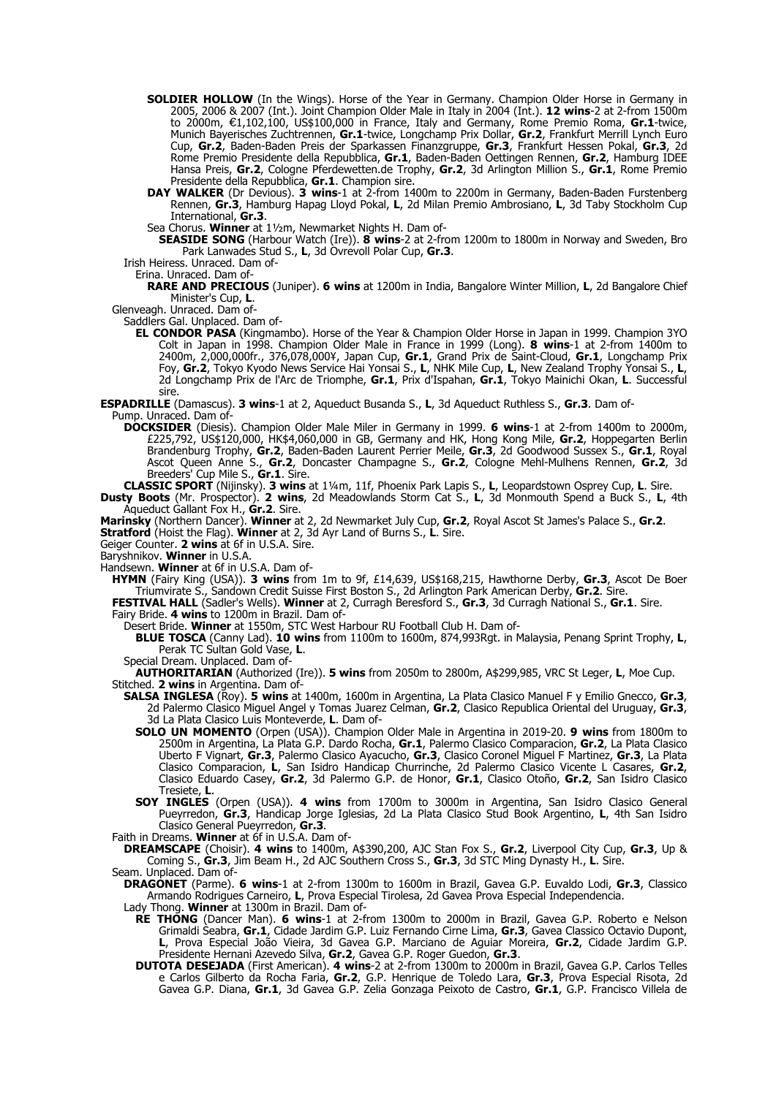- **SOLDIER HOLLOW** (In the Wings). Horse of the Year in Germany. Champion Older Horse in Germany in 2005, 2006 & 2007 (Int.). Joint Champion Older Male in Italy in 2004 (Int.). **12 wins**-2 at 2-from 1500m to 2000m, €1,102,100, US\$100,000 in France, Italy and Germany, Rome Premio Roma, Gr.1-twice, Munich Bayerisches Zuchtrennen, **Gr.1**-twice, Longchamp Prix Dollar, **Gr.2**, Frankfurt Merrill Lynch Euro Cup, **Gr.2**, Baden-Baden Preis der Sparkassen Finanzgruppe, **Gr.3**, Frankfurt Hessen Pokal, **Gr.3**, 2d Rome Premio Presidente della Repubblica, **Gr.1**, Baden-Baden Oettingen Rennen, **Gr.2**, Hamburg IDEE Hansa Preis, **Gr.2**, Cologne Pferdewetten.de Trophy, **Gr.2**, 3d Arlington Million S., **Gr.1**, Rome Premio Presidente della Repubblica, **Gr.1**. Champion sire.
- **DAY WALKER** (Dr Devious). **3 wins**-1 at 2-from 1400m to 2200m in Germany, Baden-Baden Furstenberg Rennen, **Gr.3**, Hamburg Hapag Lloyd Pokal, **L**, 2d Milan Premio Ambrosiano, **L**, 3d Taby Stockholm Cup International, **Gr.3**.

Sea Chorus. **Winner** at 1½m, Newmarket Nights H. Dam of-

**SEASIDE SONG** (Harbour Watch (Ire)). **8 wins**-2 at 2-from 1200m to 1800m in Norway and Sweden, Bro Park Lanwades Stud S., **L**, 3d Ovrevoll Polar Cup, **Gr.3**.

Irish Heiress. Unraced. Dam of-

Erina. Unraced. Dam of-

**RARE AND PRECIOUS** (Juniper). **6 wins** at 1200m in India, Bangalore Winter Million, **L**, 2d Bangalore Chief Minister's Cup, **L**.

Glenveagh. Unraced. Dam of-

Saddlers Gal. Unplaced. Dam of-

- **EL CONDOR PASA** (Kingmambo). Horse of the Year & Champion Older Horse in Japan in 1999. Champion 3YO Colt in Japan in 1998. Champion Older Male in France in 1999 (Long). **8 wins**-1 at 2-from 1400m to 2400m, 2,000,000fr., 376,078,000¥, Japan Cup, **Gr.1**, Grand Prix de Saint-Cloud, **Gr.1**, Longchamp Prix Foy, **Gr.2**, Tokyo Kyodo News Service Hai Yonsai S., **L**, NHK Mile Cup, **L**, New Zealand Trophy Yonsai S., **L**, 2d Longchamp Prix de l'Arc de Triomphe, **Gr.1**, Prix d'Ispahan, **Gr.1**, Tokyo Mainichi Okan, **L**. Successful sire.
- **ESPADRILLE** (Damascus). **3 wins**-1 at 2, Aqueduct Busanda S., **L**, 3d Aqueduct Ruthless S., **Gr.3**. Dam of-Pump. Unraced. Dam of-
	- **DOCKSIDER** (Diesis). Champion Older Male Miler in Germany in 1999. **6 wins**-1 at 2-from 1400m to 2000m, £225,792, US\$120,000, HK\$4,060,000 in GB, Germany and HK, Hong Kong Mile, **Gr.2**, Hoppegarten Berlin Brandenburg Trophy, **Gr.2**, Baden-Baden Laurent Perrier Meile, **Gr.3**, 2d Goodwood Sussex S., **Gr.1**, Royal Ascot Queen Anne S., **Gr.2**, Doncaster Champagne S., **Gr.2**, Cologne Mehl-Mulhens Rennen, **Gr.2**, 3d Breeders' Cup Mile S., **Gr.1**. Sire.

**CLASSIC SPORT** (Nijinsky). **3 wins** at 1¼m, 11f, Phoenix Park Lapis S., **L**, Leopardstown Osprey Cup, **L**. Sire. **Dusty Boots** (Mr. Prospector). **2 wins**, 2d Meadowlands Storm Cat S., **L**, 3d Monmouth Spend a Buck S., **L**, 4th Aqueduct Gallant Fox H., **Gr.2**. Sire.

**Marinsky** (Northern Dancer). **Winner** at 2, 2d Newmarket July Cup, **Gr.2**, Royal Ascot St James's Palace S., **Gr.2**. **Stratford** (Hoist the Flag). **Winner** at 2, 3d Ayr Land of Burns S., **L**. Sire.

Geiger Counter. **2 wins** at 6f in U.S.A. Sire.

Baryshnikov. **Winner** in U.S.A.

Handsewn. **Winner** at 6f in U.S.A. Dam of-

**HYMN** (Fairy King (USA)). **3 wins** from 1m to 9f, £14,639, US\$168,215, Hawthorne Derby, **Gr.3**, Ascot De Boer Triumvirate S., Sandown Credit Suisse First Boston S., 2d Arlington Park American Derby, **Gr.2**. Sire.

- **FESTIVAL HALL** (Sadler's Wells). **Winner** at 2, Curragh Beresford S., **Gr.3**, 3d Curragh National S., **Gr.1**. Sire. Fairy Bride. **4 wins** to 1200m in Brazil. Dam of-
	- Desert Bride. **Winner** at 1550m, STC West Harbour RU Football Club H. Dam of-
	- **BLUE TOSCA** (Canny Lad). **10 wins** from 1100m to 1600m, 874,993Rgt. in Malaysia, Penang Sprint Trophy, **L**, Perak TC Sultan Gold Vase, **L**.

Special Dream. Unplaced. Dam of-

**AUTHORITARIAN** (Authorized (Ire)). **5 wins** from 2050m to 2800m, A\$299,985, VRC St Leger, **L**, Moe Cup. Stitched. **2 wins** in Argentina. Dam of-

- **SALSA INGLESA** (Roy). **5 wins** at 1400m, 1600m in Argentina, La Plata Clasico Manuel F y Emilio Gnecco, **Gr.3**, 2d Palermo Clasico Miguel Angel y Tomas Juarez Celman, **Gr.2**, Clasico Republica Oriental del Uruguay, **Gr.3**, 3d La Plata Clasico Luis Monteverde, **L**. Dam of-
	- **SOLO UN MOMENTO** (Orpen (USA)). Champion Older Male in Argentina in 2019-20. **9 wins** from 1800m to 2500m in Argentina, La Plata G.P. Dardo Rocha, **Gr.1**, Palermo Clasico Comparacion, **Gr.2**, La Plata Clasico Uberto F Vignart, **Gr.3**, Palermo Clasico Ayacucho, **Gr.3**, Clasico Coronel Miguel F Martinez, **Gr.3**, La Plata Clasico Comparacion, **L**, San Isidro Handicap Churrinche, 2d Palermo Clasico Vicente L Casares, **Gr.2**, Clasico Eduardo Casey, **Gr.2**, 3d Palermo G.P. de Honor, **Gr.1**, Clasico Otoño, **Gr.2**, San Isidro Clasico Tresiete, **L**.
	- **SOY INGLES** (Orpen (USA)). **4 wins** from 1700m to 3000m in Argentina, San Isidro Clasico General Pueyrredon, **Gr.3**, Handicap Jorge Iglesias, 2d La Plata Clasico Stud Book Argentino, **L**, 4th San Isidro Clasico General Pueyrredon, **Gr.3**.

Faith in Dreams. **Winner** at 6f in U.S.A. Dam of-

**DREAMSCAPE** (Choisir). **4 wins** to 1400m, A\$390,200, AJC Stan Fox S., **Gr.2**, Liverpool City Cup, **Gr.3**, Up & Coming S., **Gr.3**, Jim Beam H., 2d AJC Southern Cross S., **Gr.3**, 3d STC Ming Dynasty H., **L**. Sire. Seam. Unplaced. Dam of-

**DRAGONET** (Parme). **6 wins**-1 at 2-from 1300m to 1600m in Brazil, Gavea G.P. Euvaldo Lodi, **Gr.3**, Classico Armando Rodrigues Carneiro, **L**, Prova Especial Tirolesa, 2d Gavea Prova Especial Independencia.

Lady Thong. **Winner** at 1300m in Brazil. Dam of-

- **RE THONG** (Dancer Man). **6 wins**-1 at 2-from 1300m to 2000m in Brazil, Gavea G.P. Roberto e Nelson Grimaldi Seabra, **Gr.1**, Cidade Jardim G.P. Luiz Fernando Cirne Lima, **Gr.3**, Gavea Classico Octavio Dupont, **L**, Prova Especial João Vieira, 3d Gavea G.P. Marciano de Aguiar Moreira, **Gr.2**, Cidade Jardim G.P. Presidente Hernani Azevedo Silva, **Gr.2**, Gavea G.P. Roger Guedon, **Gr.3**.
- **DUTOTA DESEJADA** (First American). **4 wins**-2 at 2-from 1300m to 2000m in Brazil, Gavea G.P. Carlos Telles e Carlos Gilberto da Rocha Faria, **Gr.2**, G.P. Henrique de Toledo Lara, **Gr.3**, Prova Especial Risota, 2d Gavea G.P. Diana, **Gr.1**, 3d Gavea G.P. Zelia Gonzaga Peixoto de Castro, **Gr.1**, G.P. Francisco Villela de